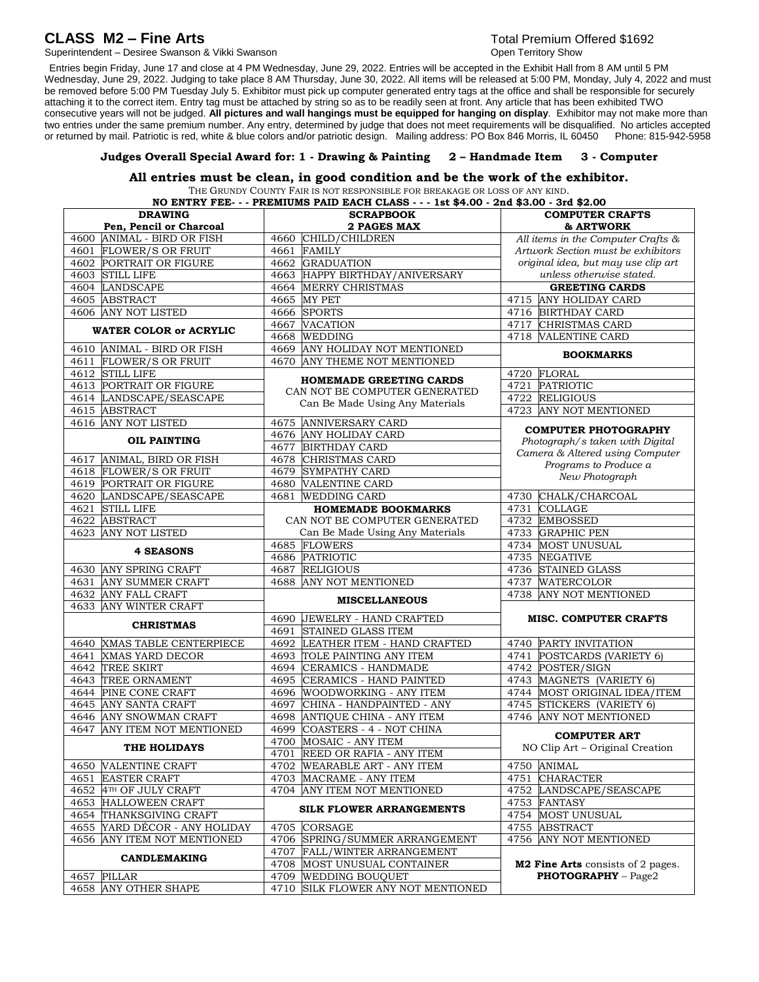# **CLASS M2 – Fine Arts** Total Premium Offered \$1692

Superintendent – Desiree Swanson & Vikki Swanson Changer Changer Changer Changer Changer Changer Changer Changer

 Entries begin Friday, June 17 and close at 4 PM Wednesday, June 29, 2022. Entries will be accepted in the Exhibit Hall from 8 AM until 5 PM Wednesday, June 29, 2022. Judging to take place 8 AM Thursday, June 30, 2022. All items will be released at 5:00 PM, Monday, July 4, 2022 and must be removed before 5:00 PM Tuesday July 5. Exhibitor must pick up computer generated entry tags at the office and shall be responsible for securely attaching it to the correct item. Entry tag must be attached by string so as to be readily seen at front. Any article that has been exhibited TWO consecutive years will not be judged. **All pictures and wall hangings must be equipped for hanging on display**. Exhibitor may not make more than two entries under the same premium number. Any entry, determined by judge that does not meet requirements will be disqualified. No articles accepted or returned by mail. Patriotic is red, white & blue colors and/or patriot or returned by mail. Patriotic is red, white & blue colors and/or patriotic design. Mailing address: PO Box 846 Morris, IL 60450

## **Judges Overall Special Award for: 1 - Drawing & Painting 2 – Handmade Item 3 - Computer**

## **All entries must be clean, in good condition and be the work of the exhibitor.**

THE GRUNDY COUNTY FAIR IS NOT RESPONSIBLE FOR BREAKAGE OR LOSS OF ANY KIND. **NO ENTRY FEE- - - PREMIUMS PAID EACH CLASS - - - 1st \$4.00 - 2nd \$3.00 - 3rd \$2.00**

| <b>DRAWING</b><br><b>SCRAPBOOK</b>                       |                                                                      | <b>COMPUTER CRAFTS</b>                                    |  |
|----------------------------------------------------------|----------------------------------------------------------------------|-----------------------------------------------------------|--|
| Pen, Pencil or Charcoal                                  | 2 PAGES MAX                                                          | & ARTWORK                                                 |  |
| 4600 ANIMAL - BIRD OR FISH                               | CHILD/CHILDREN<br>4660                                               | All items in the Computer Crafts &                        |  |
| 4601 FLOWER/S OR FRUIT                                   | 4661<br><b>FAMILY</b>                                                | Artwork Section must be exhibitors                        |  |
| <b>4602 PORTRAIT OR FIGURE</b>                           | 4662 GRADUATION                                                      | original idea, but may use clip art                       |  |
| 4603 STILL LIFE                                          | 4663 HAPPY BIRTHDAY/ANIVERSARY                                       | unless otherwise stated.                                  |  |
| 4604 LANDSCAPE                                           | <b>MERRY CHRISTMAS</b><br>4664                                       | <b>GREETING CARDS</b>                                     |  |
| 4605 ABSTRACT                                            | <b>MY PET</b><br>4665                                                | 4715 ANY HOLIDAY CARD                                     |  |
| 4606 ANY NOT LISTED                                      | <b>SPORTS</b><br>4666                                                | 4716 BIRTHDAY CARD                                        |  |
| <b>WATER COLOR or ACRYLIC</b>                            | 4667<br><b>VACATION</b><br>WEDDING<br>4668                           | 4717 CHRISTMAS CARD<br>4718 VALENTINE CARD                |  |
| 4610 ANIMAL - BIRD OR FISH                               | 4669 ANY HOLIDAY NOT MENTIONED                                       |                                                           |  |
| 4611 FLOWER/S OR FRUIT                                   | ANY THEME NOT MENTIONED<br>4670                                      | <b>BOOKMARKS</b>                                          |  |
| 4612 STILL LIFE                                          |                                                                      | 4720 FLORAL                                               |  |
| <b>4613 PORTRAIT OR FIGURE</b>                           | <b>HOMEMADE GREETING CARDS</b>                                       | 4721 PATRIOTIC                                            |  |
| 4614 LANDSCAPE/SEASCAPE                                  | CAN NOT BE COMPUTER GENERATED                                        | 4722 RELIGIOUS                                            |  |
| 4615 ABSTRACT                                            | Can Be Made Using Any Materials                                      | 4723 ANY NOT MENTIONED                                    |  |
| 4616 ANY NOT LISTED                                      | 4675 ANNIVERSARY CARD                                                |                                                           |  |
|                                                          | 4676 ANY HOLIDAY CARD                                                | <b>COMPUTER PHOTOGRAPHY</b>                               |  |
| <b>OIL PAINTING</b>                                      | <b>BIRTHDAY CARD</b><br>4677                                         | Photograph/s taken with Digital                           |  |
| ANIMAL, BIRD OR FISH<br>4617                             | 4678<br><b>CHRISTMAS CARD</b>                                        | Camera & Altered using Computer<br>Programs to Produce a  |  |
| 4618 FLOWER/S OR FRUIT                                   | SYMPATHY CARD<br>4679                                                |                                                           |  |
| 4619 PORTRAIT OR FIGURE                                  | <b>VALENTINE CARD</b><br>4680                                        | New Photograph                                            |  |
| 4620 LANDSCAPE/SEASCAPE                                  | <b>WEDDING CARD</b><br>4681                                          | 4730 CHALK/CHARCOAL                                       |  |
| 4621 STILL LIFE                                          | <b>HOMEMADE BOOKMARKS</b>                                            | 4731 COLLAGE                                              |  |
| 4622 ABSTRACT                                            | CAN NOT BE COMPUTER GENERATED                                        | 4732 EMBOSSED                                             |  |
| 4623 ANY NOT LISTED                                      | Can Be Made Using Any Materials                                      | 4733 GRAPHIC PEN                                          |  |
|                                                          | 4685 FLOWERS                                                         | 4734 MOST UNUSUAL                                         |  |
| <b>4 SEASONS</b>                                         | 4686 PATRIOTIC                                                       | 4735 NEGATIVE                                             |  |
| 4630 ANY SPRING CRAFT                                    | <b>RELIGIOUS</b><br>4687                                             | 4736 STAINED GLASS                                        |  |
| <b>ANY SUMMER CRAFT</b><br>4631                          | ANY NOT MENTIONED<br>4688                                            | 4737 WATERCOLOR                                           |  |
| 4632 ANY FALL CRAFT                                      | <b>MISCELLANEOUS</b>                                                 | ANY NOT MENTIONED<br>4738                                 |  |
| ANY WINTER CRAFT<br>4633                                 |                                                                      |                                                           |  |
| <b>CHRISTMAS</b>                                         | JEWELRY - HAND CRAFTED<br>4690                                       | <b>MISC. COMPUTER CRAFTS</b>                              |  |
|                                                          | <b>STAINED GLASS ITEM</b><br>4691                                    |                                                           |  |
| XMAS TABLE CENTERPIECE<br>4640                           | 4692<br>LEATHER ITEM - HAND CRAFTED                                  | 4740 PARTY INVITATION                                     |  |
| <b>XMAS YARD DECOR</b><br>4641                           | TOLE PAINTING ANY ITEM<br>4693                                       | 4741 POSTCARDS (VARIETY 6)                                |  |
| 4642 TREE SKIRT                                          | 4694 CERAMICS - HANDMADE                                             | 4742 POSTER/SIGN                                          |  |
| 4643 TREE ORNAMENT                                       | 4695<br><b>CERAMICS - HAND PAINTED</b>                               | 4743 MAGNETS (VARIETY 6)                                  |  |
| PINE CONE CRAFT<br>4644<br>4645 ANY SANTA CRAFT          | WOODWORKING - ANY ITEM<br>4696<br>CHINA - HANDPAINTED - ANY<br>4697  | 4744 MOST ORIGINAL IDEA/ITEM<br>4745 STICKERS (VARIETY 6) |  |
|                                                          |                                                                      | 4746 ANY NOT MENTIONED                                    |  |
| 4646 ANY SNOWMAN CRAFT<br>ANY ITEM NOT MENTIONED<br>4647 | 4698 ANTIQUE CHINA - ANY ITEM<br>4699 COASTERS - 4 - NOT CHINA       |                                                           |  |
|                                                          |                                                                      | <b>COMPUTER ART</b>                                       |  |
| THE HOLIDAYS                                             | <b>MOSAIC - ANY ITEM</b><br>4700<br>4701<br>REED OR RAFIA - ANY ITEM | NO Clip Art - Original Creation                           |  |
|                                                          | 4702 WEARABLE ART - ANY ITEM                                         |                                                           |  |
| 4650   VALENTINE CRAFT<br>4651 EASTER CRAFT              | 4703 MACRAME - ANY ITEM                                              | 4750 ANIMAL<br>4751 CHARACTER                             |  |
| 4652 4TH OF JULY CRAFT                                   | 4704 ANY ITEM NOT MENTIONED                                          | 4752 LANDSCAPE/SEASCAPE                                   |  |
| 4653 HALLOWEEN CRAFT                                     |                                                                      | 4753 FANTASY                                              |  |
| 4654 THANKSGIVING CRAFT                                  | <b>SILK FLOWER ARRANGEMENTS</b>                                      | 4754 MOST UNUSUAL                                         |  |
| 4655 YARD DÉCOR - ANY HOLIDAY                            | 4705 CORSAGE                                                         | 4755 ABSTRACT                                             |  |
| 4656 ANY ITEM NOT MENTIONED                              | 4706 SPRING/SUMMER ARRANGEMENT                                       | 4756 ANY NOT MENTIONED                                    |  |
|                                                          | 4707 FALL/WINTER ARRANGEMENT                                         |                                                           |  |
| <b>CANDLEMAKING</b>                                      | 4708 MOST UNUSUAL CONTAINER                                          | M2 Fine Arts consists of 2 pages.                         |  |
| 4657 PILLAR                                              | 4709 WEDDING BOUQUET                                                 | <b>PHOTOGRAPHY</b> - Page2                                |  |
| 4658 ANY OTHER SHAPE                                     | 4710 SILK FLOWER ANY NOT MENTIONED                                   |                                                           |  |